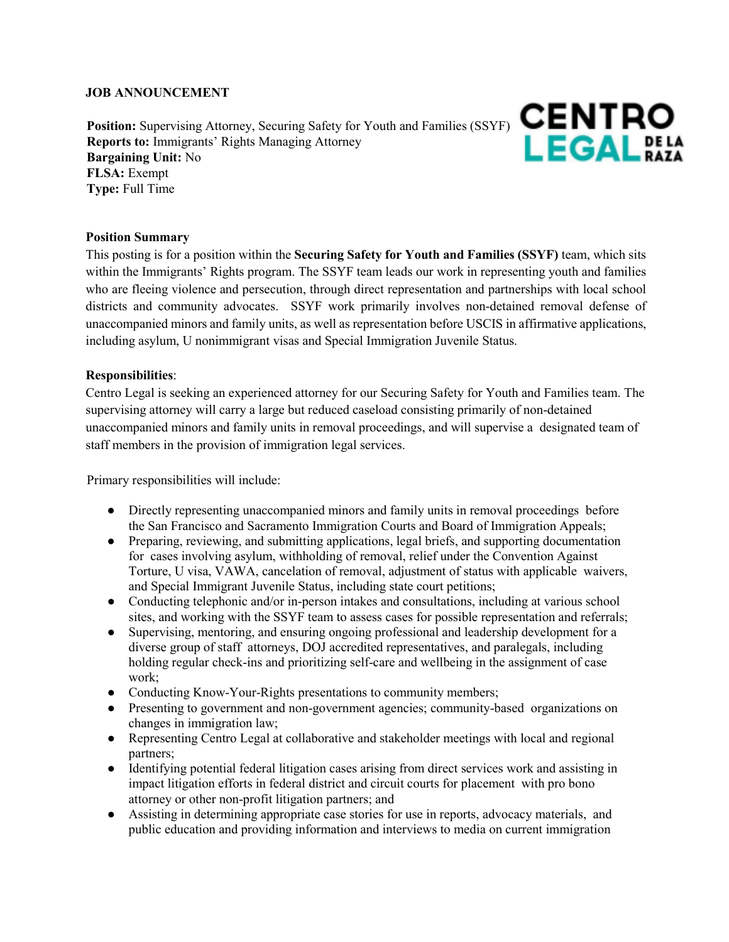### **JOB ANNOUNCEMENT**

Position: Supervising Attorney, Securing Safety for Youth and Families (SSYF) CENTRO **Reports to:** Immigrants' Rights Managing Attorney **Bargaining Unit:** No **FLSA:** Exempt **Type:** Full Time



### **Position Summary**

This posting is for a position within the **Securing Safety for Youth and Families (SSYF)** team, which sits within the Immigrants' Rights program. The SSYF team leads our work in representing youth and families who are fleeing violence and persecution, through direct representation and partnerships with local school districts and community advocates. SSYF work primarily involves non-detained removal defense of unaccompanied minors and family units, as well as representation before USCIS in affirmative applications, including asylum, U nonimmigrant visas and Special Immigration Juvenile Status.

### **Responsibilities**:

Centro Legal is seeking an experienced attorney for our Securing Safety for Youth and Families team. The supervising attorney will carry a large but reduced caseload consisting primarily of non-detained unaccompanied minors and family units in removal proceedings, and will supervise a designated team of staff members in the provision of immigration legal services.

Primary responsibilities will include:

- Directly representing unaccompanied minors and family units in removal proceedings before the San Francisco and Sacramento Immigration Courts and Board of Immigration Appeals;
- Preparing, reviewing, and submitting applications, legal briefs, and supporting documentation for cases involving asylum, withholding of removal, relief under the Convention Against Torture, U visa, VAWA, cancelation of removal, adjustment of status with applicable waivers, and Special Immigrant Juvenile Status, including state court petitions;
- Conducting telephonic and/or in-person intakes and consultations, including at various school sites, and working with the SSYF team to assess cases for possible representation and referrals;
- Supervising, mentoring, and ensuring ongoing professional and leadership development for a diverse group of staff attorneys, DOJ accredited representatives, and paralegals, including holding regular check-ins and prioritizing self-care and wellbeing in the assignment of case work;
- Conducting Know-Your-Rights presentations to community members;
- Presenting to government and non-government agencies; community-based organizations on changes in immigration law;
- Representing Centro Legal at collaborative and stakeholder meetings with local and regional partners;
- Identifying potential federal litigation cases arising from direct services work and assisting in impact litigation efforts in federal district and circuit courts for placement with pro bono attorney or other non-profit litigation partners; and
- Assisting in determining appropriate case stories for use in reports, advocacy materials, and public education and providing information and interviews to media on current immigration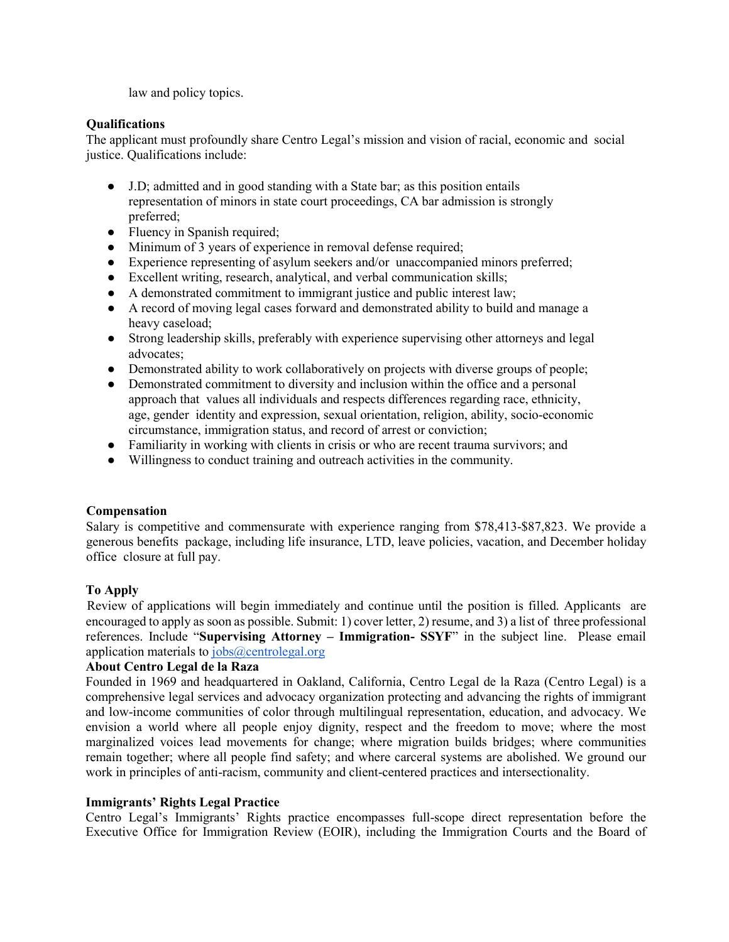law and policy topics.

## **Qualifications**

The applicant must profoundly share Centro Legal's mission and vision of racial, economic and social justice. Qualifications include:

- J.D; admitted and in good standing with a State bar; as this position entails representation of minors in state court proceedings, CA bar admission is strongly preferred;
- Fluency in Spanish required;
- Minimum of 3 years of experience in removal defense required;
- Experience representing of asylum seekers and/or unaccompanied minors preferred;
- Excellent writing, research, analytical, and verbal communication skills;
- A demonstrated commitment to immigrant justice and public interest law;
- A record of moving legal cases forward and demonstrated ability to build and manage a heavy caseload;
- Strong leadership skills, preferably with experience supervising other attorneys and legal advocates;
- Demonstrated ability to work collaboratively on projects with diverse groups of people;
- Demonstrated commitment to diversity and inclusion within the office and a personal approach that values all individuals and respects differences regarding race, ethnicity, age, gender identity and expression, sexual orientation, religion, ability, socio-economic circumstance, immigration status, and record of arrest or conviction;
- Familiarity in working with clients in crisis or who are recent trauma survivors; and
- Willingness to conduct training and outreach activities in the community.

## **Compensation**

Salary is competitive and commensurate with experience ranging from \$78,413-\$87,823. We provide a generous benefits package, including life insurance, LTD, leave policies, vacation, and December holiday office closure at full pay.

# **To Apply**

Review of applications will begin immediately and continue until the position is filled. Applicants are encouraged to apply as soon as possible. Submit: 1) cover letter, 2) resume, and 3) a list of three professional references. Include "**Supervising Attorney – Immigration- SSYF**" in the subject line. Please email application materials to [jobs@centrolegal.org](mailto:jobs@centrolegal.org) 

## **About Centro Legal de la Raza**

Founded in 1969 and headquartered in Oakland, California, Centro Legal de la Raza (Centro Legal) is a comprehensive legal services and advocacy organization protecting and advancing the rights of immigrant and low-income communities of color through multilingual representation, education, and advocacy. We envision a world where all people enjoy dignity, respect and the freedom to move; where the most marginalized voices lead movements for change; where migration builds bridges; where communities remain together; where all people find safety; and where carceral systems are abolished. We ground our work in principles of anti-racism, community and client-centered practices and intersectionality.

## **Immigrants' Rights Legal Practice**

Centro Legal's Immigrants' Rights practice encompasses full-scope direct representation before the Executive Office for Immigration Review (EOIR), including the Immigration Courts and the Board of